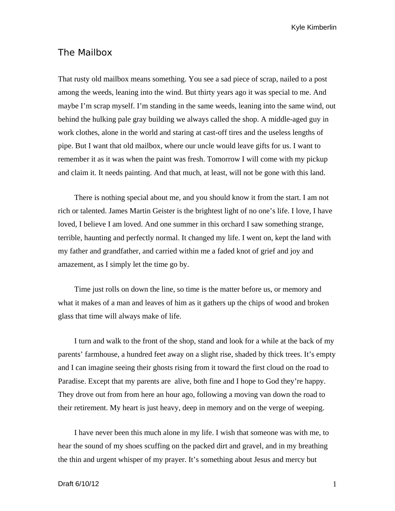Kyle Kimberlin

## The Mailbox

That rusty old mailbox means something. You see a sad piece of scrap, nailed to a post among the weeds, leaning into the wind. But thirty years ago it was special to me. And maybe I'm scrap myself. I'm standing in the same weeds, leaning into the same wind, out behind the hulking pale gray building we always called the shop. A middle-aged guy in work clothes, alone in the world and staring at cast-off tires and the useless lengths of pipe. But I want that old mailbox, where our uncle would leave gifts for us. I want to remember it as it was when the paint was fresh. Tomorrow I will come with my pickup and claim it. It needs painting. And that much, at least, will not be gone with this land.

There is nothing special about me, and you should know it from the start. I am not rich or talented. James Martin Geister is the brightest light of no one's life. I love, I have loved, I believe I am loved. And one summer in this orchard I saw something strange, terrible, haunting and perfectly normal. It changed my life. I went on, kept the land with my father and grandfather, and carried within me a faded knot of grief and joy and amazement, as I simply let the time go by.

Time just rolls on down the line, so time is the matter before us, or memory and what it makes of a man and leaves of him as it gathers up the chips of wood and broken glass that time will always make of life.

I turn and walk to the front of the shop, stand and look for a while at the back of my parents' farmhouse, a hundred feet away on a slight rise, shaded by thick trees. It's empty and I can imagine seeing their ghosts rising from it toward the first cloud on the road to Paradise. Except that my parents are alive, both fine and I hope to God they're happy. They drove out from from here an hour ago, following a moving van down the road to their retirement. My heart is just heavy, deep in memory and on the verge of weeping.

I have never been this much alone in my life. I wish that someone was with me, to hear the sound of my shoes scuffing on the packed dirt and gravel, and in my breathing the thin and urgent whisper of my prayer. It's something about Jesus and mercy but

## Draft 6/10/12 1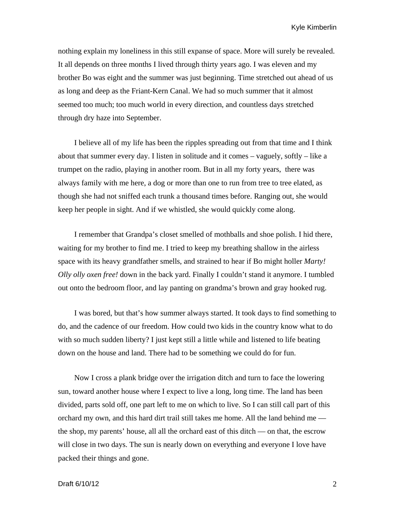Kyle Kimberlin

nothing explain my loneliness in this still expanse of space. More will surely be revealed. It all depends on three months I lived through thirty years ago. I was eleven and my brother Bo was eight and the summer was just beginning. Time stretched out ahead of us as long and deep as the Friant-Kern Canal. We had so much summer that it almost seemed too much; too much world in every direction, and countless days stretched through dry haze into September.

I believe all of my life has been the ripples spreading out from that time and I think about that summer every day. I listen in solitude and it comes  $-$  vaguely, softly  $-$  like a trumpet on the radio, playing in another room. But in all my forty years, there was always family with me here, a dog or more than one to run from tree to tree elated, as though she had not sniffed each trunk a thousand times before. Ranging out, she would keep her people in sight. And if we whistled, she would quickly come along.

I remember that Grandpa's closet smelled of mothballs and shoe polish. I hid there, waiting for my brother to find me. I tried to keep my breathing shallow in the airless space with its heavy grandfather smells, and strained to hear if Bo might holler *Marty! Olly olly oxen free!* down in the back yard. Finally I couldn't stand it anymore. I tumbled out onto the bedroom floor, and lay panting on grandma's brown and gray hooked rug.

I was bored, but that's how summer always started. It took days to find something to do, and the cadence of our freedom. How could two kids in the country know what to do with so much sudden liberty? I just kept still a little while and listened to life beating down on the house and land. There had to be something we could do for fun.

Now I cross a plank bridge over the irrigation ditch and turn to face the lowering sun, toward another house where I expect to live a long, long time. The land has been divided, parts sold off, one part left to me on which to live. So I can still call part of this orchard my own, and this hard dirt trail still takes me home. All the land behind me the shop, my parents' house, all all the orchard east of this ditch — on that, the escrow will close in two days. The sun is nearly down on everything and everyone I love have packed their things and gone.

## Draft 6/10/12 2